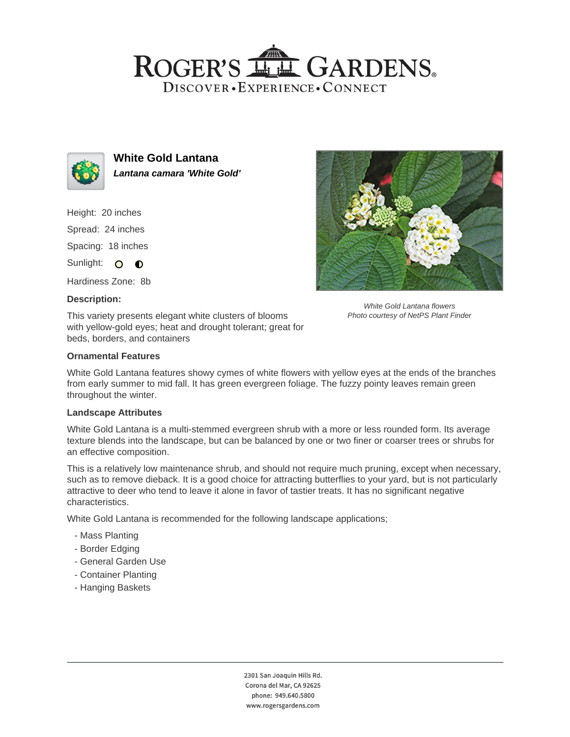# ROGER'S LL GARDENS. DISCOVER · EXPERIENCE · CONNECT



**White Gold Lantana Lantana camara 'White Gold'**

Height: 20 inches Spread: 24 inches Spacing: 18 inches

Sunlight: O **O** 

Hardiness Zone: 8b

## **Description:**

This variety presents elegant white clusters of blooms with yellow-gold eyes; heat and drought tolerant; great for beds, borders, and containers



## **Ornamental Features**

White Gold Lantana features showy cymes of white flowers with yellow eyes at the ends of the branches from early summer to mid fall. It has green evergreen foliage. The fuzzy pointy leaves remain green throughout the winter.

#### **Landscape Attributes**

White Gold Lantana is a multi-stemmed evergreen shrub with a more or less rounded form. Its average texture blends into the landscape, but can be balanced by one or two finer or coarser trees or shrubs for an effective composition.

This is a relatively low maintenance shrub, and should not require much pruning, except when necessary, such as to remove dieback. It is a good choice for attracting butterflies to your yard, but is not particularly attractive to deer who tend to leave it alone in favor of tastier treats. It has no significant negative characteristics.

White Gold Lantana is recommended for the following landscape applications;

- Mass Planting
- Border Edging
- General Garden Use
- Container Planting
- Hanging Baskets

2301 San Joaquin Hills Rd. Corona del Mar, CA 92625 phone: 949.640.5800 www.rogersgardens.com